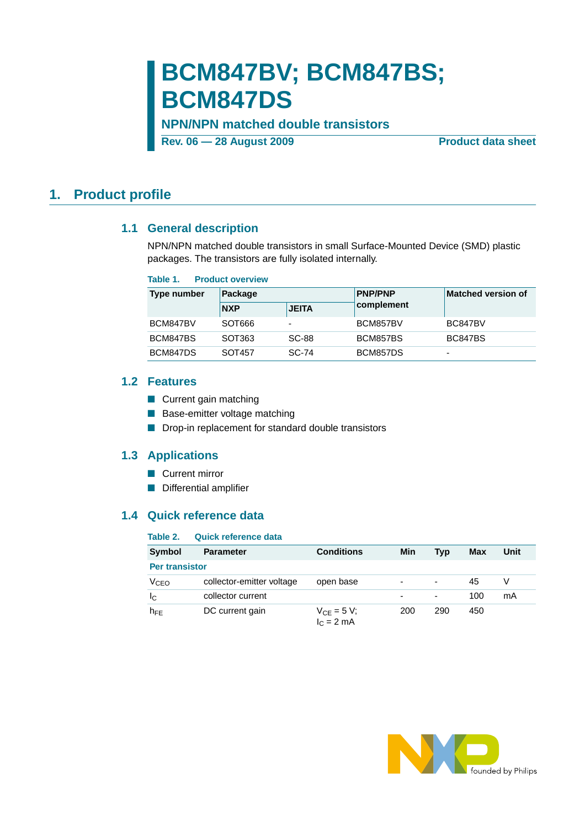# **BCM847BV; BCM847BS; BCM847DS**

### **NPN/NPN matched double transistors**

**Rev. 06 – 28 August 2009** Product data sheet

### <span id="page-0-1"></span><span id="page-0-0"></span>**1. Product profile**

### **1.1 General description**

NPN/NPN matched double transistors in small Surface-Mounted Device (SMD) plastic packages. The transistors are fully isolated internally.

| Table 1. | <b>Product overview</b> |
|----------|-------------------------|
|          |                         |

| <b>Type number</b> | Package    |                          | <b>PNP/PNP</b> | <b>Matched version of</b> |  |
|--------------------|------------|--------------------------|----------------|---------------------------|--|
|                    | <b>NXP</b> | <b>JEITA</b>             | complement     |                           |  |
| BCM847BV           | SOT666     | $\overline{\phantom{a}}$ | BCM857BV       | BC847BV                   |  |
| BCM847BS           | SOT363     | <b>SC-88</b>             | BCM857BS       | <b>BC847BS</b>            |  |
| BCM847DS           | SOT457     | SC-74                    | BCM857DS       | $\overline{\phantom{0}}$  |  |

### <span id="page-0-2"></span>**1.2 Features**

- Current gain matching
- Base-emitter voltage matching
- Drop-in replacement for standard double transistors

### <span id="page-0-3"></span>**1.3 Applications**

- Current mirror
- Differential amplifier

### <span id="page-0-4"></span>**1.4 Quick reference data**

| Table 2.              | <b>Quick reference data</b> |                                |     |                          |     |      |
|-----------------------|-----------------------------|--------------------------------|-----|--------------------------|-----|------|
| Symbol                | <b>Parameter</b>            | <b>Conditions</b>              | Min | Typ                      | Max | Unit |
| <b>Per transistor</b> |                             |                                |     |                          |     |      |
| V <sub>CEO</sub>      | collector-emitter voltage   | open base                      |     | $\overline{\phantom{a}}$ | 45  | V    |
| IС                    | collector current           |                                |     | $\overline{\phantom{a}}$ | 100 | mA   |
| $h_{FE}$              | DC current gain             | $V_{CE} = 5 V;$<br>$IC = 2 mA$ | 200 | 290                      | 450 |      |

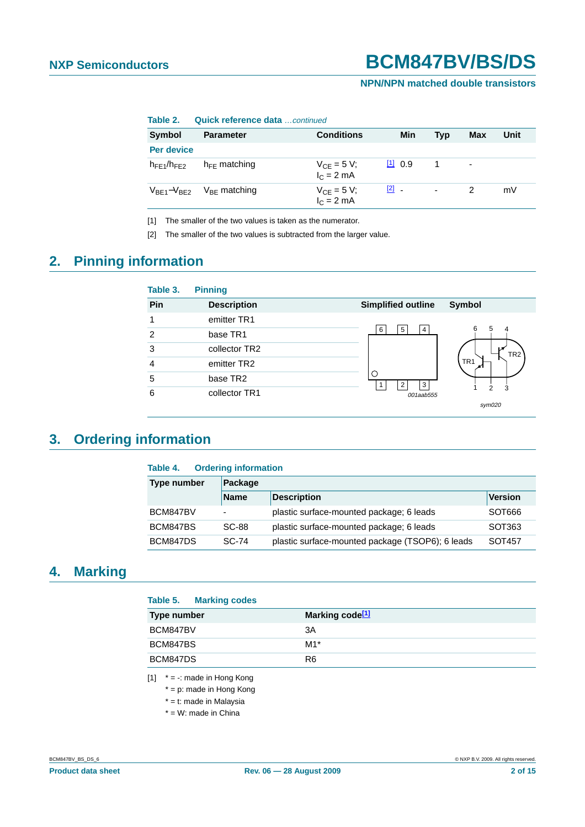### **NPN/NPN matched double transistors**

| .                 | <u>wurkin i wiwi witwo wutu UU hinduu</u> |                                 |               |     |                          |      |
|-------------------|-------------------------------------------|---------------------------------|---------------|-----|--------------------------|------|
| Symbol            | <b>Parameter</b>                          | <b>Conditions</b>               | Min           | Tvp | <b>Max</b>               | Unit |
| Per device        |                                           |                                 |               |     |                          |      |
| $h_{FF1}/h_{FF2}$ | $h_{FF}$ matching                         | $V_{CE} = 5 V;$<br>$IC = 2 mA$  | [1] 0.9       |     | $\overline{\phantom{a}}$ |      |
| $V_{BE1}-V_{BE2}$ | $V_{BF}$ matching                         | $V_{CE} = 5 V;$<br>$I_C = 2 mA$ | $\boxed{2}$ - | ۰.  | 2                        | mV   |

**Table 2. Quick reference data** continued

<span id="page-1-0"></span>[1] The smaller of the two values is taken as the numerator.

<span id="page-1-1"></span>[2] The smaller of the two values is subtracted from the larger value.

## <span id="page-1-3"></span>**2. Pinning information**

| Table 3.      | <b>Pinning</b>     |                           |                 |
|---------------|--------------------|---------------------------|-----------------|
| Pin           | <b>Description</b> | <b>Simplified outline</b> | <b>Symbol</b>   |
|               | emitter TR1        |                           |                 |
| $\mathcal{P}$ | base TR1           | 5<br>6<br>4               | 6<br>5<br>4     |
| 3             | collector TR2      |                           | TR <sub>2</sub> |
| 4             | emitter TR2        |                           | TR <sub>1</sub> |
| 5             | base TR2           | ◠<br>3                    |                 |
| 6             | collector TR1      | 001aab555                 | 3               |
|               |                    |                           | sym020          |

## <span id="page-1-4"></span>**3. Ordering information**

| <b>Ordering information</b><br>Table 4. |                          |                                                  |                    |  |  |  |  |
|-----------------------------------------|--------------------------|--------------------------------------------------|--------------------|--|--|--|--|
| Type number                             | Package                  |                                                  |                    |  |  |  |  |
| <b>Name</b>                             |                          | <b>Description</b>                               | <b>Version</b>     |  |  |  |  |
| BCM847BV                                | $\overline{\phantom{0}}$ | plastic surface-mounted package; 6 leads         | SOT666             |  |  |  |  |
| BCM847BS                                | SC-88                    | plastic surface-mounted package; 6 leads         | SOT <sub>363</sub> |  |  |  |  |
| BCM847DS                                | SC-74                    | plastic surface-mounted package (TSOP6); 6 leads | SOT457             |  |  |  |  |

## <span id="page-1-5"></span>**4. Marking**

| Table 5. Marking codes |                             |
|------------------------|-----------------------------|
| Type number            | Marking code <sup>[1]</sup> |
| BCM847BV               | 3A                          |
| BCM847BS               | $M1*$                       |
| BCM847DS               | R <sub>6</sub>              |

<span id="page-1-2"></span> $[1]$  \* = -: made in Hong Kong

- \* = p: made in Hong Kong
- \* = t: made in Malaysia
- \* = W: made in China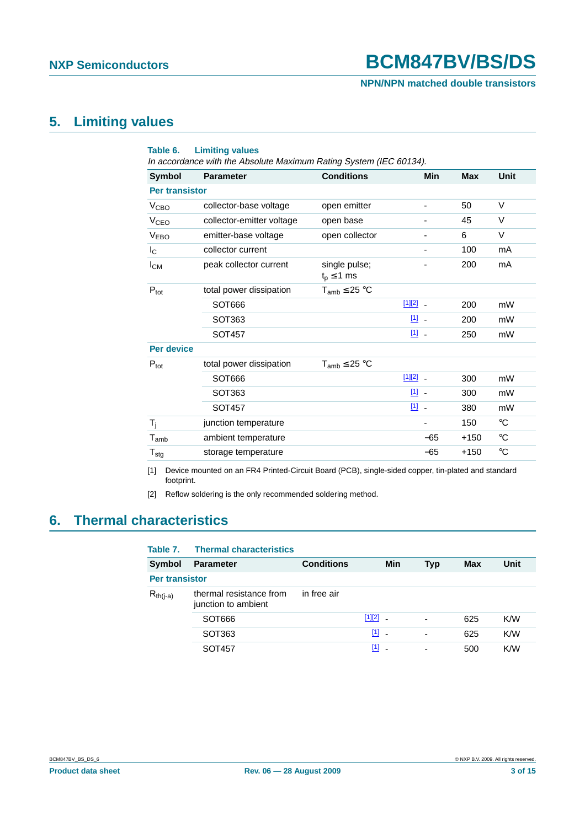### **NPN/NPN matched double transistors**

## <span id="page-2-2"></span>**5. Limiting values**

| Table 6.                    | <b>Limiting values</b><br>In accordance with the Absolute Maximum Rating System (IEC 60134). |                                    |                         |            |             |
|-----------------------------|----------------------------------------------------------------------------------------------|------------------------------------|-------------------------|------------|-------------|
| <b>Symbol</b>               | <b>Parameter</b>                                                                             | <b>Conditions</b>                  | <b>Min</b>              | <b>Max</b> | <b>Unit</b> |
| <b>Per transistor</b>       |                                                                                              |                                    |                         |            |             |
| V <sub>CBO</sub>            | collector-base voltage                                                                       | open emitter                       |                         | 50         | $\vee$      |
| <b>V<sub>CEO</sub></b>      | collector-emitter voltage                                                                    | open base                          |                         | 45         | V           |
| <b>VEBO</b>                 | emitter-base voltage                                                                         | open collector                     |                         | 6          | $\vee$      |
| $I_{\rm C}$                 | collector current                                                                            |                                    |                         | 100        | mA          |
| <b>I</b> <sub>CM</sub>      | peak collector current                                                                       | single pulse;<br>$t_{p} \leq 1$ ms |                         | 200        | mA          |
| $P_{\text{tot}}$            | total power dissipation                                                                      | $T_{amb} \leq 25 °C$               |                         |            |             |
|                             | SOT666                                                                                       |                                    | $[1][2]$ $-$            | 200        | mW          |
|                             | SOT363                                                                                       |                                    | $[1]$ $-$               | 200        | mW          |
|                             | SOT457                                                                                       |                                    | $[1]$                   | 250        | mW          |
| <b>Per device</b>           |                                                                                              |                                    |                         |            |             |
| $P_{\text{tot}}$            | total power dissipation                                                                      | $T_{amb} \leq 25 °C$               |                         |            |             |
|                             | SOT666                                                                                       |                                    | $[1][2]$ _              | 300        | mW          |
|                             | SOT363                                                                                       |                                    | $\boxed{1}$ $\boxed{1}$ | 300        | mW          |
|                             | <b>SOT457</b>                                                                                |                                    | $\boxed{1}$<br>$\sim$   | 380        | mW          |
| $T_i$                       | junction temperature                                                                         |                                    |                         | 150        | $^{\circ}C$ |
| $\mathsf{T}_{\mathsf{amb}}$ | ambient temperature                                                                          |                                    | $-65$                   | $+150$     | $^{\circ}C$ |
| $T_{\text{stg}}$            | storage temperature                                                                          |                                    | $-65$                   | $+150$     | $^{\circ}C$ |

<span id="page-2-0"></span>[1] Device mounted on an FR4 Printed-Circuit Board (PCB), single-sided copper, tin-plated and standard footprint.

<span id="page-2-1"></span>[2] Reflow soldering is the only recommended soldering method.

## <span id="page-2-3"></span>**6. Thermal characteristics**

| Table 7.              | <b>Thermal characteristics</b>                 |                   |              |                          |     |      |  |
|-----------------------|------------------------------------------------|-------------------|--------------|--------------------------|-----|------|--|
| Symbol                | <b>Parameter</b>                               | <b>Conditions</b> | <b>Min</b>   | <b>Typ</b>               | Max | Unit |  |
| <b>Per transistor</b> |                                                |                   |              |                          |     |      |  |
| $R_{th(i-a)}$         | thermal resistance from<br>junction to ambient | in free air       |              |                          |     |      |  |
|                       | SOT666                                         |                   | $[1][2]$ $-$ | $\overline{\phantom{a}}$ | 625 | K/W  |  |
|                       | SOT <sub>363</sub>                             |                   | $[1]$        | $\overline{\phantom{0}}$ | 625 | K/W  |  |
|                       | SOT457                                         |                   | $[1]$        | $\overline{\phantom{0}}$ | 500 | K/W  |  |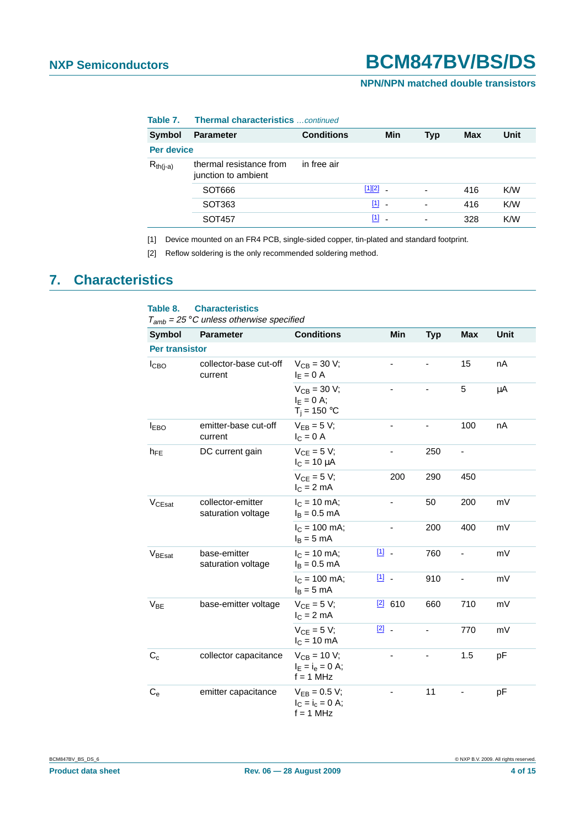### **NPN/NPN matched double transistors**

| lable 7.      | <b>Inermal characteristics</b> continued       |                   |              |                          |     |      |  |  |
|---------------|------------------------------------------------|-------------------|--------------|--------------------------|-----|------|--|--|
| Symbol        | <b>Parameter</b>                               | <b>Conditions</b> | <b>Min</b>   | <b>Typ</b>               | Max | Unit |  |  |
| Per device    |                                                |                   |              |                          |     |      |  |  |
| $R_{th(i-a)}$ | thermal resistance from<br>junction to ambient | in free air       |              |                          |     |      |  |  |
|               | SOT666                                         |                   | $[1][2]$ $-$ | $\overline{\phantom{a}}$ | 416 | K/W  |  |  |
|               | SOT <sub>363</sub>                             |                   | $[1]$        | $\overline{\phantom{a}}$ | 416 | K/W  |  |  |
|               | SOT457                                         |                   | $[1]$        | $\overline{\phantom{a}}$ | 328 | K/W  |  |  |
|               |                                                |                   |              |                          |     |      |  |  |

#### **Table 7. Thermal characteristics** …continued

<span id="page-3-0"></span>[1] Device mounted on an FR4 PCB, single-sided copper, tin-plated and standard footprint.

<span id="page-3-1"></span>[2] Reflow soldering is the only recommended soldering method.

## <span id="page-3-2"></span>**7. Characteristics**

### **Table 8. Characteristics**

 $T_{amb}$  = 25 °C unless otherwise specified

| <b>Symbol</b>      | <b>Parameter</b>                        | <b>Conditions</b>                                      | Min           | <b>Typ</b> | <b>Max</b> | <b>Unit</b> |  |  |
|--------------------|-----------------------------------------|--------------------------------------------------------|---------------|------------|------------|-------------|--|--|
|                    | <b>Per transistor</b>                   |                                                        |               |            |            |             |  |  |
| I <sub>CBO</sub>   | collector-base cut-off<br>current       | $V_{CB} = 30 V;$<br>$I_F = 0 A$                        |               |            | 15         | nA          |  |  |
|                    |                                         | $V_{CB} = 30 V;$<br>$I_F = 0 A$ ;<br>$T_i = 150 °C$    |               |            | 5          | μA          |  |  |
| <b>IEBO</b>        | emitter-base cut-off<br>current         | $V_{FB} = 5 V;$<br>$I_C = 0$ A                         |               |            | 100        | nA          |  |  |
| $h_{FE}$           | DC current gain                         | $V_{CE} = 5 V;$<br>$I_C = 10 \mu A$                    |               | 250        | ٠          |             |  |  |
|                    |                                         | $V_{CF} = 5 V;$<br>$I_C = 2 mA$                        | 200           | 290        | 450        |             |  |  |
| V <sub>CEsat</sub> | collector-emitter<br>saturation voltage | $I_C = 10$ mA;<br>$I_B = 0.5$ mA                       |               | 50         | 200        | mV          |  |  |
|                    |                                         | $I_C = 100$ mA;<br>$I_B = 5$ mA                        | ٠             | 200        | 400        | mV          |  |  |
| $V_{\text{BEsat}}$ | base-emitter<br>saturation voltage      | $I_C = 10$ mA;<br>$I_B = 0.5$ mA                       | 凹.            | 760        | -          | mV          |  |  |
|                    |                                         | $I_C = 100$ mA;<br>$I_R = 5$ mA                        | 凹 -           | 910        | -          | mV          |  |  |
| $V_{BE}$           | base-emitter voltage                    | $V_{CE} = 5 V$ ;<br>$I_C = 2 mA$                       | $2$ 610       | 660        | 710        | mV          |  |  |
|                    |                                         | $V_{CE} = 5 V;$<br>$IC = 10 mA$                        | $\boxed{2}$ . |            | 770        | mV          |  |  |
| $C_c$              | collector capacitance                   | $V_{CB} = 10 V;$<br>$I_E = I_e = 0$ A;<br>$f = 1$ MHz  |               |            | 1.5        | pF          |  |  |
| $C_{e}$            | emitter capacitance                     | $V_{EB} = 0.5 V;$<br>$I_C = I_c = 0$ A;<br>$f = 1$ MHz |               | 11         |            | pF          |  |  |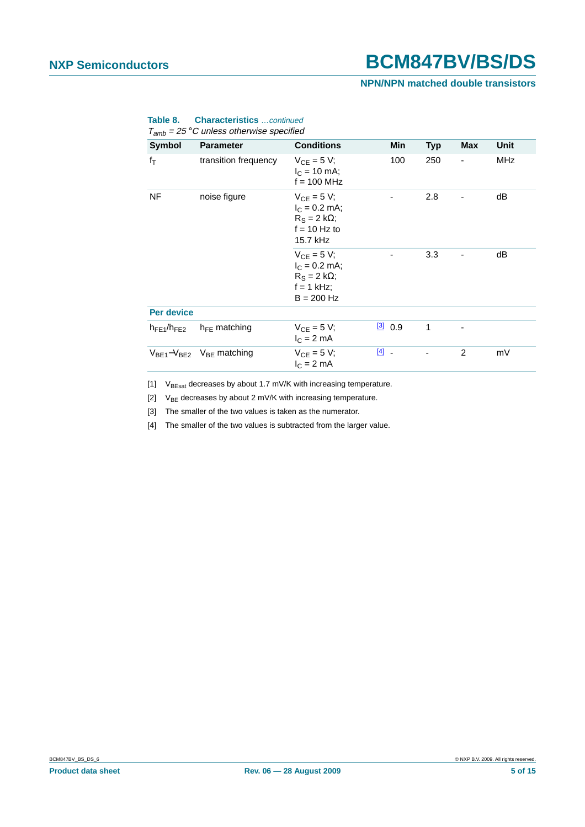### **NPN/NPN matched double transistors**

| Symbol             | <b>Parameter</b>                    | <b>Conditions</b>                                                                         | Min       | <b>Typ</b> | Max                      | Unit       |
|--------------------|-------------------------------------|-------------------------------------------------------------------------------------------|-----------|------------|--------------------------|------------|
| $f_T$              | transition frequency                | $V_{CF} = 5 V$ ;<br>$I_C = 10$ mA;<br>$f = 100$ MHz                                       | 100       | 250        | $\overline{\phantom{0}}$ | <b>MHz</b> |
| NF<br>noise figure |                                     | $V_{CF} = 5 V$ ;<br>$I_C = 0.2$ mA;<br>$R_S = 2 k\Omega$ ;<br>$f = 10$ Hz to<br>15.7 kHz  |           | 2.8        |                          | dB         |
|                    |                                     | $V_{CF} = 5 V;$<br>$I_C = 0.2$ mA;<br>$R_S = 2 k\Omega$ ;<br>$f = 1$ kHz;<br>$B = 200$ Hz |           | 3.3        |                          | dB         |
| <b>Per device</b>  |                                     |                                                                                           |           |            |                          |            |
| $h_{FE1}/h_{FE2}$  | $h_{FE}$ matching                   | $V_{CF} = 5 V;$<br>$IC = 2 mA$                                                            | [3] 0.9   | 1          |                          |            |
|                    | $V_{BE1}-V_{BE2}$ $V_{BE}$ matching | $V_{CF} = 5 V$ ;<br>$I_C = 2$ mA                                                          | $[4]$ $-$ |            | 2                        | mV         |

#### **Table 8. Characteristics** …continued  $T_{amb}$  = 25 °C unless otherwise specified

<span id="page-4-0"></span>[1]  $V_{BEsat}$  decreases by about 1.7 mV/K with increasing temperature.

<span id="page-4-1"></span>[2]  $V_{BE}$  decreases by about 2 mV/K with increasing temperature.

<span id="page-4-2"></span>[3] The smaller of the two values is taken as the numerator.

<span id="page-4-3"></span>[4] The smaller of the two values is subtracted from the larger value.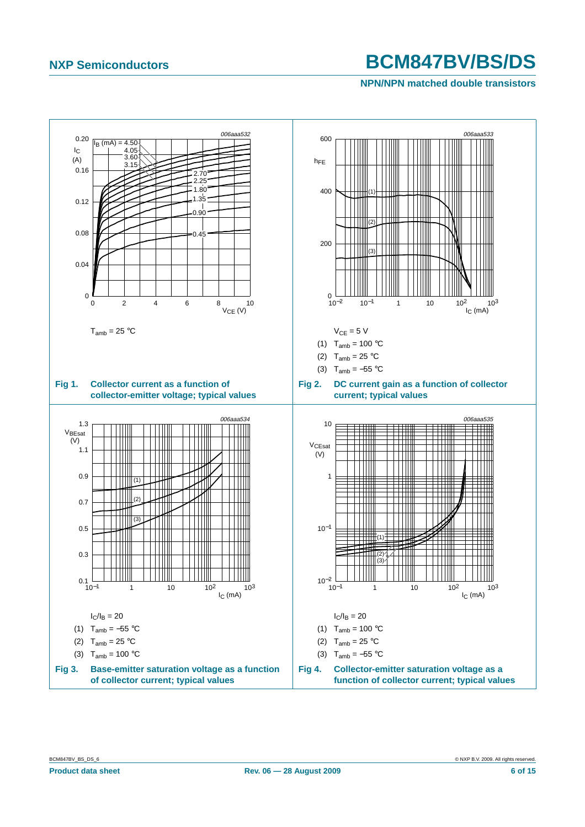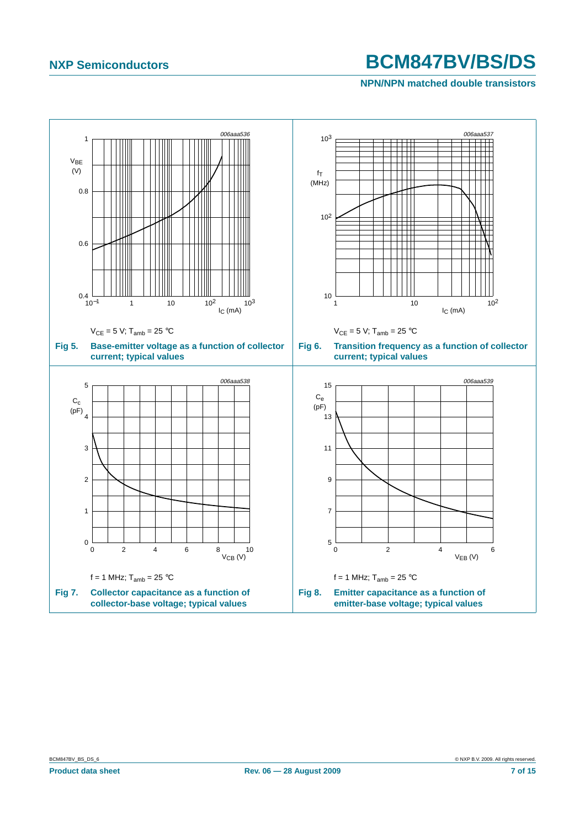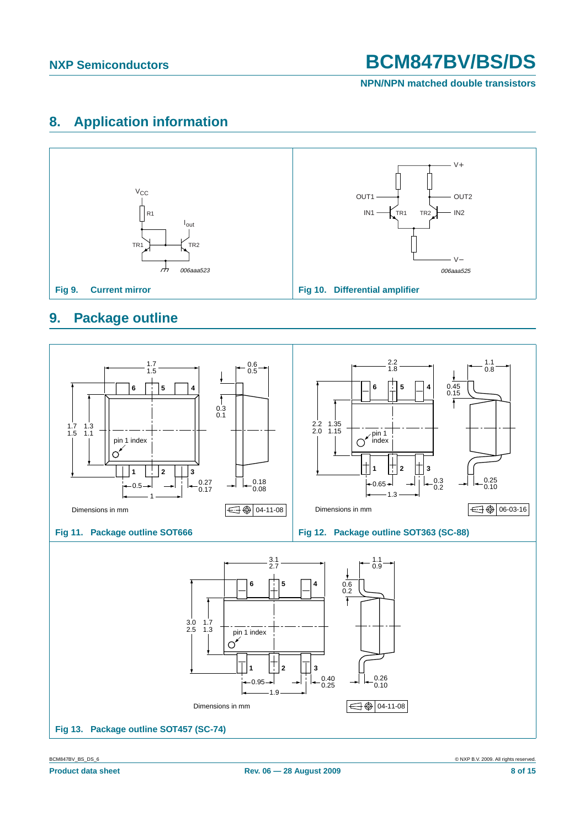**NPN/NPN matched double transistors**

## <span id="page-7-1"></span>**8. Application information**



## <span id="page-7-2"></span>**9. Package outline**

<span id="page-7-0"></span>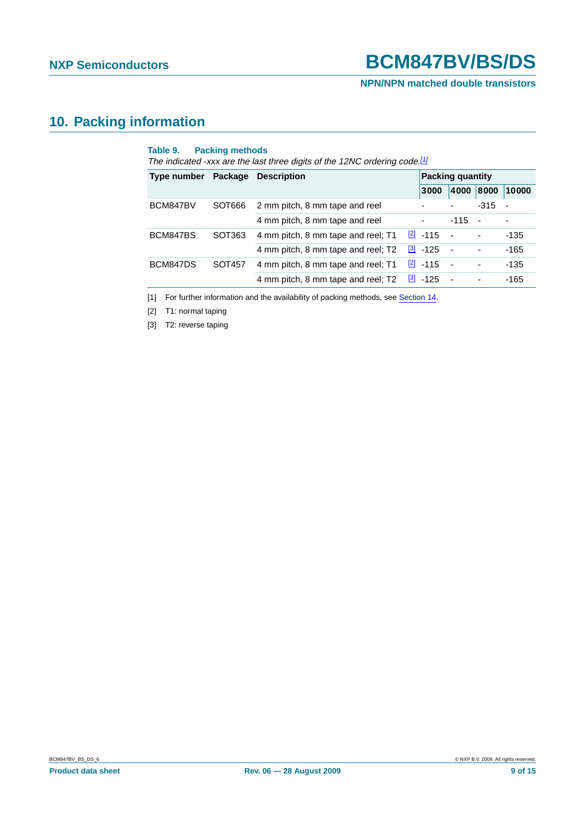**NPN/NPN matched double transistors**

## <span id="page-8-3"></span>**10. Packing information**

| BCM847BV |        |                                    |  | 3000             |                | <b>Packing quantity</b> |        |  |  |
|----------|--------|------------------------------------|--|------------------|----------------|-------------------------|--------|--|--|
|          |        |                                    |  |                  | 4000           | 8000                    | 10000  |  |  |
|          | SOT666 | 2 mm pitch, 8 mm tape and reel     |  |                  |                | $-315$                  |        |  |  |
|          |        | 4 mm pitch, 8 mm tape and reel     |  |                  | $-115$         | $\sim$                  |        |  |  |
| BCM847BS | SOT363 | 4 mm pitch, 8 mm tape and reel; T1 |  | $\boxed{2}$ -115 | $\sim$         |                         | -135   |  |  |
|          |        | 4 mm pitch, 8 mm tape and reel; T2 |  | $[3] -125$       | $\sim$         | ٠                       | $-165$ |  |  |
| BCM847DS | SOT457 | 4 mm pitch, 8 mm tape and reel; T1 |  | $\boxed{2}$ -115 | $\sim$         |                         | $-135$ |  |  |
|          |        | 4 mm pitch, 8 mm tape and reel; T2 |  | $[3] -125$       | $\blacksquare$ |                         | $-165$ |  |  |

<span id="page-8-0"></span>[1] For further information and the availability of packing methods, see [Section](#page-13-0) 14.

<span id="page-8-1"></span>[2] T1: normal taping

<span id="page-8-2"></span>[3] T2: reverse taping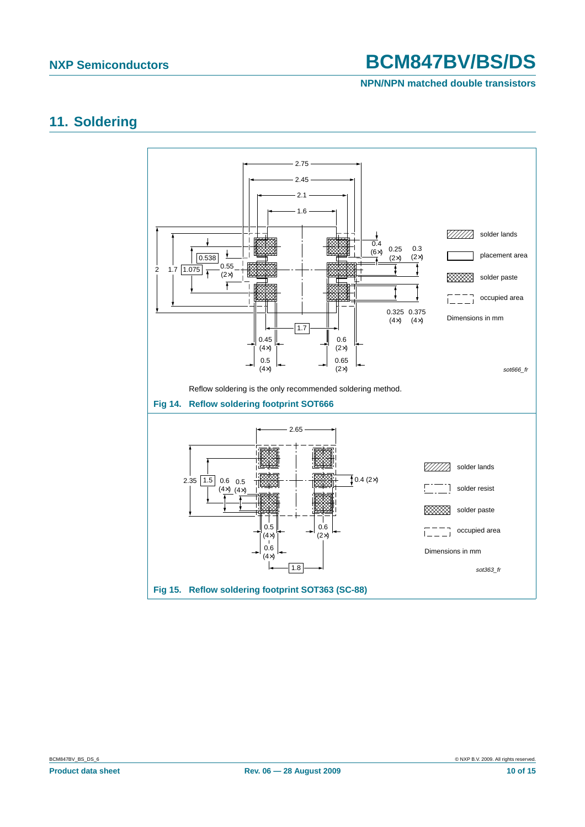### **NPN/NPN matched double transistors**

### <span id="page-9-2"></span>**11. Soldering**

<span id="page-9-1"></span><span id="page-9-0"></span>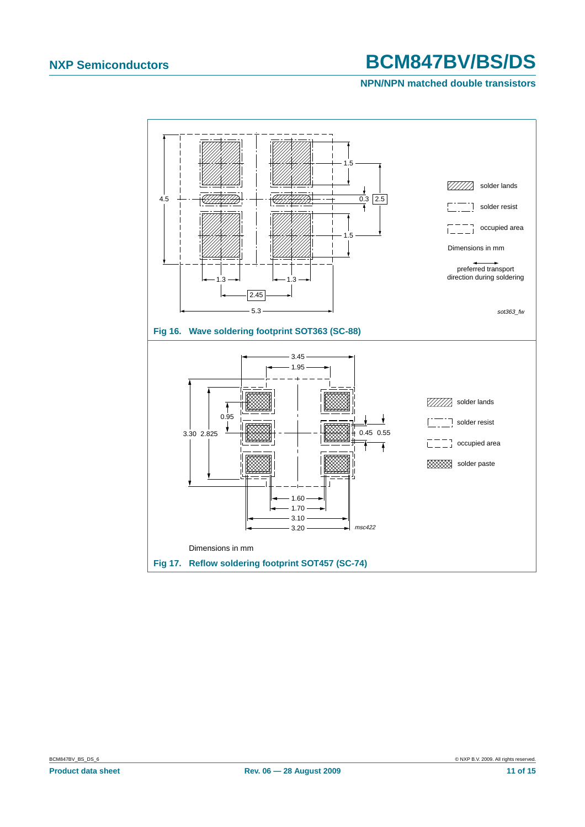<span id="page-10-0"></span>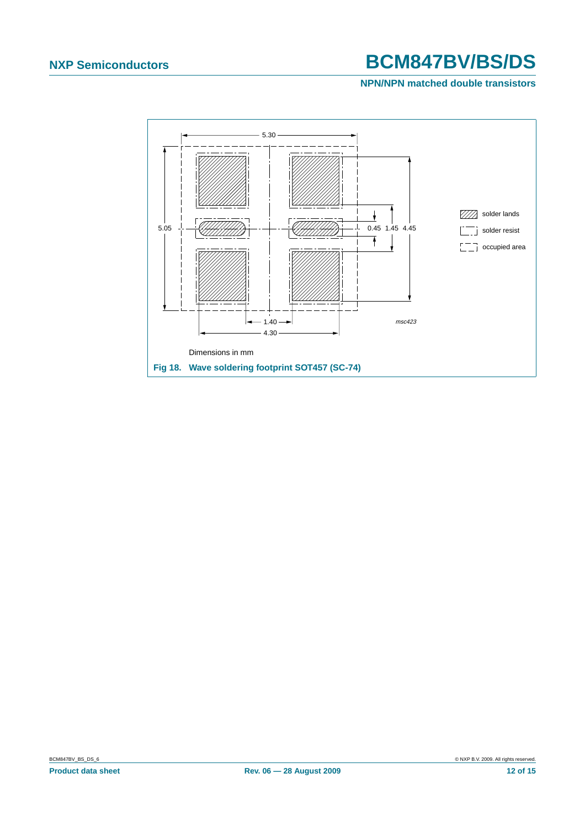<span id="page-11-0"></span>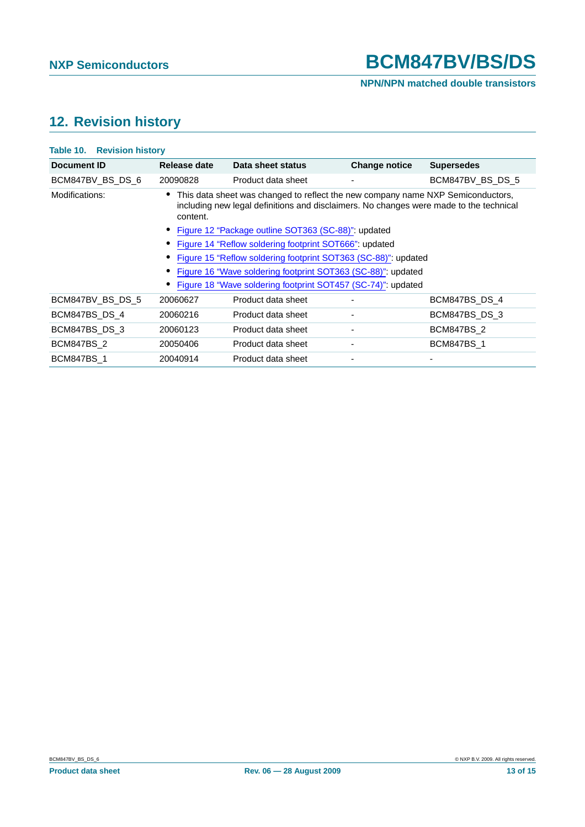### **NPN/NPN matched double transistors**

## <span id="page-12-0"></span>**12. Revision history**

| <b>Table 10. Revision history</b> |                                                                                                                                                                                         |                                                              |                      |                   |  |  |  |
|-----------------------------------|-----------------------------------------------------------------------------------------------------------------------------------------------------------------------------------------|--------------------------------------------------------------|----------------------|-------------------|--|--|--|
| Document ID                       | Release date                                                                                                                                                                            | Data sheet status                                            | <b>Change notice</b> | <b>Supersedes</b> |  |  |  |
| BCM847BV_BS_DS_6                  | 20090828                                                                                                                                                                                | Product data sheet                                           | ٠                    | BCM847BV BS DS 5  |  |  |  |
| Modifications:                    | • This data sheet was changed to reflect the new company name NXP Semiconductors,<br>including new legal definitions and disclaimers. No changes were made to the technical<br>content. |                                                              |                      |                   |  |  |  |
|                                   | • Figure 12 "Package outline SOT363 (SC-88)": updated                                                                                                                                   |                                                              |                      |                   |  |  |  |
|                                   | Figure 14 "Reflow soldering footprint SOT666" updated                                                                                                                                   |                                                              |                      |                   |  |  |  |
|                                   | Figure 15 "Reflow soldering footprint SOT363 (SC-88)": updated                                                                                                                          |                                                              |                      |                   |  |  |  |
|                                   | Figure 16 "Wave soldering footprint SOT363 (SC-88)": updated                                                                                                                            |                                                              |                      |                   |  |  |  |
|                                   |                                                                                                                                                                                         | Figure 18 "Wave soldering footprint SOT457 (SC-74)": updated |                      |                   |  |  |  |
| BCM847BV BS DS 5                  | 20060627                                                                                                                                                                                | Product data sheet                                           |                      | BCM847BS DS 4     |  |  |  |
| BCM847BS DS 4                     | 20060216                                                                                                                                                                                | Product data sheet                                           | -                    | BCM847BS DS 3     |  |  |  |
| BCM847BS DS 3                     | 20060123                                                                                                                                                                                | Product data sheet                                           | ٠                    | <b>BCM847BS 2</b> |  |  |  |
| <b>BCM847BS 2</b>                 | 20050406                                                                                                                                                                                | Product data sheet                                           |                      | <b>BCM847BS 1</b> |  |  |  |
| <b>BCM847BS 1</b>                 | 20040914                                                                                                                                                                                | Product data sheet                                           |                      |                   |  |  |  |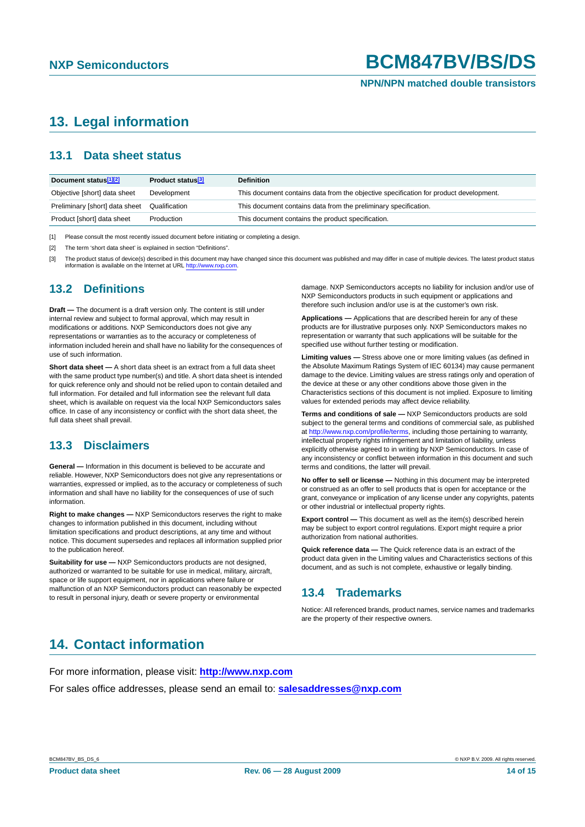#### **NPN/NPN matched double transistors**

## <span id="page-13-1"></span>**13. Legal information**

### <span id="page-13-2"></span>**13.1 Data sheet status**

| Document status <sup>[1][2]</sup> | Product status <sup>[3]</sup> | <b>Definition</b>                                                                     |
|-----------------------------------|-------------------------------|---------------------------------------------------------------------------------------|
| Objective [short] data sheet      | Development                   | This document contains data from the objective specification for product development. |
| Preliminary [short] data sheet    | Qualification                 | This document contains data from the preliminary specification.                       |
| Product [short] data sheet        | Production                    | This document contains the product specification.                                     |

[1] Please consult the most recently issued document before initiating or completing a design.

[2] The term 'short data sheet' is explained in section "Definitions".

[3] The product status of device(s) described in this document may have changed since this document was published and may differ in case of multiple devices. The latest product status information is available on the Internet at URL http://www.nxp.com.

### <span id="page-13-3"></span>**13.2 Definitions**

**Draft —** The document is a draft version only. The content is still under internal review and subject to formal approval, which may result in modifications or additions. NXP Semiconductors does not give any representations or warranties as to the accuracy or completeness of information included herein and shall have no liability for the consequences of use of such information.

**Short data sheet —** A short data sheet is an extract from a full data sheet with the same product type number(s) and title. A short data sheet is intended for quick reference only and should not be relied upon to contain detailed and full information. For detailed and full information see the relevant full data sheet, which is available on request via the local NXP Semiconductors sales office. In case of any inconsistency or conflict with the short data sheet, the full data sheet shall prevail.

### <span id="page-13-4"></span>**13.3 Disclaimers**

**General —** Information in this document is believed to be accurate and reliable. However, NXP Semiconductors does not give any representations or warranties, expressed or implied, as to the accuracy or completeness of such information and shall have no liability for the consequences of use of such information.

**Right to make changes —** NXP Semiconductors reserves the right to make changes to information published in this document, including without limitation specifications and product descriptions, at any time and without notice. This document supersedes and replaces all information supplied prior to the publication hereof.

**Suitability for use —** NXP Semiconductors products are not designed, authorized or warranted to be suitable for use in medical, military, aircraft, space or life support equipment, nor in applications where failure or malfunction of an NXP Semiconductors product can reasonably be expected to result in personal injury, death or severe property or environmental

damage. NXP Semiconductors accepts no liability for inclusion and/or use of NXP Semiconductors products in such equipment or applications and therefore such inclusion and/or use is at the customer's own risk.

**Applications —** Applications that are described herein for any of these products are for illustrative purposes only. NXP Semiconductors makes no representation or warranty that such applications will be suitable for the specified use without further testing or modification.

**Limiting values —** Stress above one or more limiting values (as defined in the Absolute Maximum Ratings System of IEC 60134) may cause permanent damage to the device. Limiting values are stress ratings only and operation of the device at these or any other conditions above those given in the Characteristics sections of this document is not implied. Exposure to limiting values for extended periods may affect device reliability.

**Terms and conditions of sale —** NXP Semiconductors products are sold subject to the general terms and conditions of commercial sale, as published at http://www.nxp.com/profile/terms, including those pertaining to warranty, intellectual property rights infringement and limitation of liability, unless explicitly otherwise agreed to in writing by NXP Semiconductors. In case of any inconsistency or conflict between information in this document and such terms and conditions, the latter will prevail.

**No offer to sell or license —** Nothing in this document may be interpreted or construed as an offer to sell products that is open for acceptance or the grant, conveyance or implication of any license under any copyrights, patents or other industrial or intellectual property rights.

**Export control —** This document as well as the item(s) described herein may be subject to export control regulations. Export might require a prior authorization from national authorities.

**Quick reference data —** The Quick reference data is an extract of the product data given in the Limiting values and Characteristics sections of this document, and as such is not complete, exhaustive or legally binding.

### <span id="page-13-5"></span>**13.4 Trademarks**

Notice: All referenced brands, product names, service names and trademarks are the property of their respective owners.

## <span id="page-13-0"></span>**14. Contact information**

For more information, please visit: **http://www.nxp.com**

For sales office addresses, please send an email to: **salesaddresses@nxp.com**